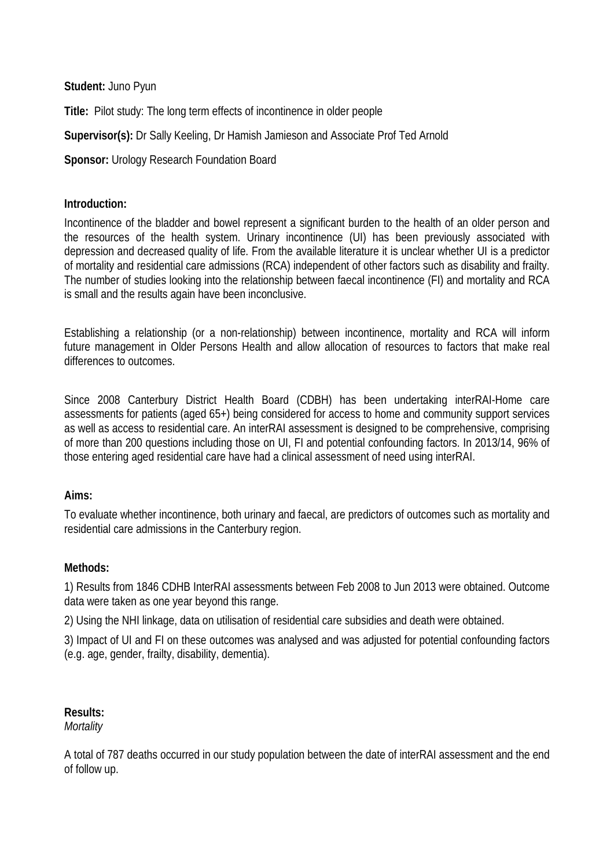**Student:** Juno Pyun

**Title:** Pilot study: The long term effects of incontinence in older people

**Supervisor(s):** Dr Sally Keeling, Dr Hamish Jamieson and Associate Prof Ted Arnold

**Sponsor:** Urology Research Foundation Board

## **Introduction:**

Incontinence of the bladder and bowel represent a significant burden to the health of an older person and the resources of the health system. Urinary incontinence (UI) has been previously associated with depression and decreased quality of life. From the available literature it is unclear whether UI is a predictor of mortality and residential care admissions (RCA) independent of other factors such as disability and frailty. The number of studies looking into the relationship between faecal incontinence (FI) and mortality and RCA is small and the results again have been inconclusive.

Establishing a relationship (or a non-relationship) between incontinence, mortality and RCA will inform future management in Older Persons Health and allow allocation of resources to factors that make real differences to outcomes.

Since 2008 Canterbury District Health Board (CDBH) has been undertaking interRAI-Home care assessments for patients (aged 65+) being considered for access to home and community support services as well as access to residential care. An interRAI assessment is designed to be comprehensive, comprising of more than 200 questions including those on UI, FI and potential confounding factors. In 2013/14, 96% of those entering aged residential care have had a clinical assessment of need using interRAI.

## **Aims:**

To evaluate whether incontinence, both urinary and faecal, are predictors of outcomes such as mortality and residential care admissions in the Canterbury region.

## **Methods:**

1) Results from 1846 CDHB InterRAI assessments between Feb 2008 to Jun 2013 were obtained. Outcome data were taken as one year beyond this range.

2) Using the NHI linkage, data on utilisation of residential care subsidies and death were obtained.

3) Impact of UI and FI on these outcomes was analysed and was adjusted for potential confounding factors (e.g. age, gender, frailty, disability, dementia).

# **Results:**

*Mortality* 

A total of 787 deaths occurred in our study population between the date of interRAI assessment and the end of follow up.